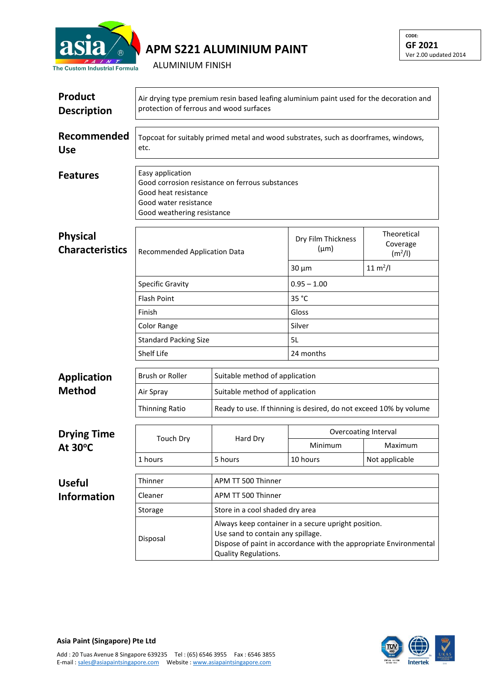

## **APM S221 ALUMINIUM PAINT**

**CODE: GF 2021** Ver 2.00 updated 2014

ALUMINIUM FINISH

| <b>Product</b><br><b>Description</b>      | Air drying type premium resin based leafing aluminium paint used for the decoration and<br>protection of ferrous and wood surfaces                                                                |                                 |                                                                   |                                                |  |  |
|-------------------------------------------|---------------------------------------------------------------------------------------------------------------------------------------------------------------------------------------------------|---------------------------------|-------------------------------------------------------------------|------------------------------------------------|--|--|
| Recommended<br><b>Use</b>                 | Topcoat for suitably primed metal and wood substrates, such as doorframes, windows,<br>etc.                                                                                                       |                                 |                                                                   |                                                |  |  |
| <b>Features</b>                           | Easy application<br>Good corrosion resistance on ferrous substances<br>Good heat resistance<br>Good water resistance<br>Good weathering resistance                                                |                                 |                                                                   |                                                |  |  |
| <b>Physical</b><br><b>Characteristics</b> | <b>Recommended Application Data</b>                                                                                                                                                               |                                 | Dry Film Thickness<br>$(\mu m)$                                   | Theoretical<br>Coverage<br>(m <sup>2</sup> /I) |  |  |
|                                           |                                                                                                                                                                                                   |                                 | $30 \mu m$                                                        | $11 \text{ m}^2$ /l                            |  |  |
|                                           | <b>Specific Gravity</b>                                                                                                                                                                           |                                 | $0.95 - 1.00$                                                     |                                                |  |  |
|                                           | <b>Flash Point</b>                                                                                                                                                                                |                                 | 35 °C                                                             |                                                |  |  |
|                                           | Finish                                                                                                                                                                                            |                                 | Gloss                                                             |                                                |  |  |
|                                           | Color Range                                                                                                                                                                                       |                                 | Silver                                                            |                                                |  |  |
|                                           | <b>Standard Packing Size</b>                                                                                                                                                                      |                                 | 5L                                                                |                                                |  |  |
|                                           | <b>Shelf Life</b>                                                                                                                                                                                 |                                 | 24 months                                                         |                                                |  |  |
| <b>Application</b>                        | <b>Brush or Roller</b>                                                                                                                                                                            | Suitable method of application  |                                                                   |                                                |  |  |
| <b>Method</b>                             | Air Spray                                                                                                                                                                                         |                                 | Suitable method of application                                    |                                                |  |  |
|                                           | <b>Thinning Ratio</b>                                                                                                                                                                             |                                 | Ready to use. If thinning is desired, do not exceed 10% by volume |                                                |  |  |
| <b>Drying Time</b><br>At $30^{\circ}$ C   | <b>Touch Dry</b>                                                                                                                                                                                  | Hard Dry                        | <b>Overcoating Interval</b>                                       |                                                |  |  |
|                                           |                                                                                                                                                                                                   |                                 | Minimum                                                           | Maximum                                        |  |  |
|                                           | 1 hours                                                                                                                                                                                           | 5 hours                         | 10 hours                                                          | Not applicable                                 |  |  |
| <b>Useful</b>                             | Thinner                                                                                                                                                                                           | APM TT 500 Thinner              |                                                                   |                                                |  |  |
| <b>Information</b>                        | Cleaner                                                                                                                                                                                           | APM TT 500 Thinner              |                                                                   |                                                |  |  |
|                                           | Storage                                                                                                                                                                                           | Store in a cool shaded dry area |                                                                   |                                                |  |  |
|                                           | Always keep container in a secure upright position.<br>Use sand to contain any spillage.<br>Disposal<br>Dispose of paint in accordance with the appropriate Environmental<br>Quality Regulations. |                                 |                                                                   |                                                |  |  |